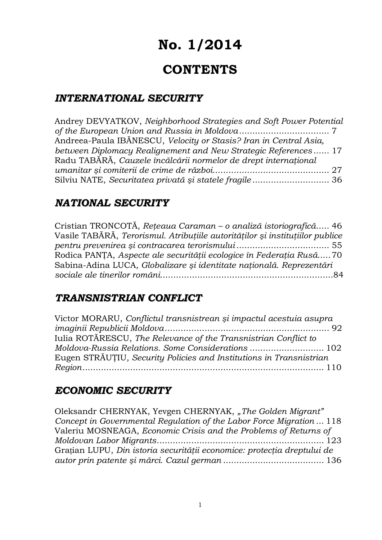# **No. 1/2014**

# **CONTENTS**

# *INTERNATIONAL SECURITY*

| Andrey DEVYATKOV, Neighborhood Strategies and Soft Power Potential |  |
|--------------------------------------------------------------------|--|
|                                                                    |  |
| Andreea-Paula IBĂNESCU, Velocity or Stasis? Iran in Central Asia,  |  |
| between Diplomacy Realignement and New Strategic References 17     |  |
| Radu TABĂRĂ, Cauzele încălcării normelor de drept internațional    |  |
|                                                                    |  |
|                                                                    |  |

# *NATIONAL SECURITY*

Cristian TRONCOTĂ*, Reţeaua Caraman – o analiză istoriografică*..... 46 Vasile TABĂRĂ, *Terorismul. Atribuţiile autorităţilor şi instituţiilor publice pentru prevenirea şi contracarea terorismului* ................................... 55 Rodica PANŢA, *Aspecte ale securităţii ecologice în Federaţia Rusă*..... 70 Sabina-Adina LUCA*, Globalizare şi identitate naţională. Reprezentări sociale ale tinerilor români*.................................................................84

# *TRANSNISTRIAN CONFLICT*

| Victor MORARU, Conflictul transnistrean și impactul acestuia asupra |  |
|---------------------------------------------------------------------|--|
|                                                                     |  |
| Iulia ROTĂRESCU, The Relevance of the Transnistrian Conflict to     |  |
| Moldova-Russia Relations. Some Considerations 102                   |  |
| Eugen STRĂUȚIU, Security Policies and Institutions in Transnistrian |  |
|                                                                     |  |

# *ECONOMIC SECURITY*

| Oleksandr CHERNYAK, Yevgen CHERNYAK, "The Golden Migrant"               |
|-------------------------------------------------------------------------|
| Concept in Governmental Regulation of the Labor Force Migration  118    |
| Valeriu MOSNEAGA, Economic Crisis and the Problems of Returns of        |
|                                                                         |
| Grațian LUPU, Din istoria securității economice: protecția dreptului de |
|                                                                         |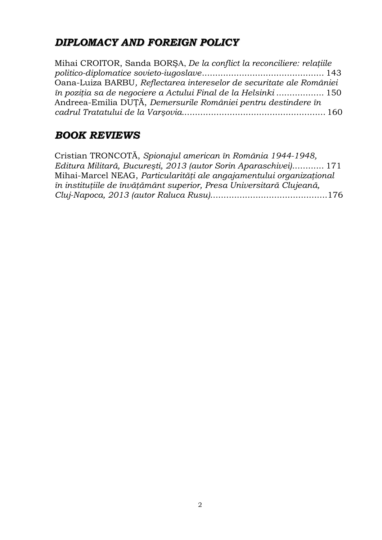# *DIPLOMACY AND FOREIGN POLICY*

Mihai CROITOR, Sanda BORŞA, *De la conflict la reconciliere: relaţiile politico-diplomatice sovieto-iugoslave*.............................................. 143 Oana-Luiza BARBU*, Reflectarea intereselor de securitate ale României în poziţia sa de negociere a Actului Final de la Helsinki* .................. 150 Andreea-Emilia DUŢĂ, *Demersurile României pentru destindere în cadrul Tratatului de la Varşovia.*..................................................... 160

# *BOOK REVIEWS*

| Cristian TRONCOTĂ, Spionajul american în România 1944-1948,          |
|----------------------------------------------------------------------|
| Editura Militară, București, 2013 (autor Sorin Aparaschivei) 171     |
| Mihai-Marcel NEAG, Particularități ale angajamentului organizațional |
| în instituțiile de învățământ superior, Presa Universitară Clujeană, |
|                                                                      |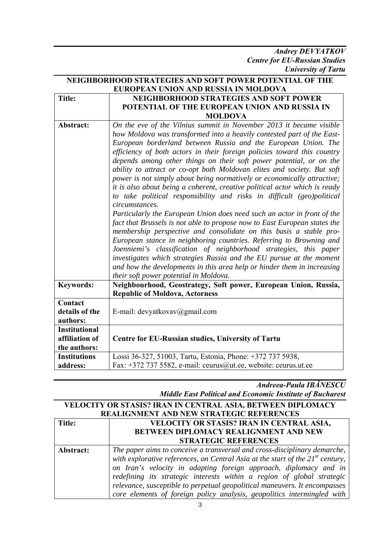*Andrey DEVYATKOV Centre for EU-Russian Studies University of Tartu* 

| NEIGHBORHOOD STRATEGIES AND SOFT POWER POTENTIAL OF THE |                                                                                                                                                                                                                                                                                                                                                                                                                                                                                                                                                                                                                                                                                                                                                                                                                                                                                                                                                                                                                                                                                                                                                                                                                                                                          |
|---------------------------------------------------------|--------------------------------------------------------------------------------------------------------------------------------------------------------------------------------------------------------------------------------------------------------------------------------------------------------------------------------------------------------------------------------------------------------------------------------------------------------------------------------------------------------------------------------------------------------------------------------------------------------------------------------------------------------------------------------------------------------------------------------------------------------------------------------------------------------------------------------------------------------------------------------------------------------------------------------------------------------------------------------------------------------------------------------------------------------------------------------------------------------------------------------------------------------------------------------------------------------------------------------------------------------------------------|
| EUROPEAN UNION AND RUSSIA IN MOLDOVA                    |                                                                                                                                                                                                                                                                                                                                                                                                                                                                                                                                                                                                                                                                                                                                                                                                                                                                                                                                                                                                                                                                                                                                                                                                                                                                          |
| <b>Title:</b>                                           | <b>NEIGHBORHOOD STRATEGIES AND SOFT POWER</b>                                                                                                                                                                                                                                                                                                                                                                                                                                                                                                                                                                                                                                                                                                                                                                                                                                                                                                                                                                                                                                                                                                                                                                                                                            |
|                                                         | POTENTIAL OF THE EUROPEAN UNION AND RUSSIA IN                                                                                                                                                                                                                                                                                                                                                                                                                                                                                                                                                                                                                                                                                                                                                                                                                                                                                                                                                                                                                                                                                                                                                                                                                            |
|                                                         | <b>MOLDOVA</b>                                                                                                                                                                                                                                                                                                                                                                                                                                                                                                                                                                                                                                                                                                                                                                                                                                                                                                                                                                                                                                                                                                                                                                                                                                                           |
| Abstract:                                               | On the eve of the Vilnius summit in November 2013 it became visible<br>how Moldova was transformed into a heavily contested part of the East-<br>European borderland between Russia and the European Union. The<br>efficiency of both actors in their foreign policies toward this country<br>depends among other things on their soft power potential, or on the<br>ability to attract or co-opt both Moldovan elites and society. But soft<br>power is not simply about being normatively or economically attractive;<br>it is also about being a coherent, creative political actor which is ready<br>to take political responsibility and risks in difficult (geo)political<br>circumstances.<br>Particularly the European Union does need such an actor in front of the<br>fact that Brussels is not able to propose now to East European states the<br>membership perspective and consolidate on this basis a stable pro-<br>European stance in neighboring countries. Referring to Browning and<br>Joenniemi's classification of neighborhood strategies, this paper<br>investigates which strategies Russia and the EU pursue at the moment<br>and how the developments in this area help or hinder them in increasing<br>their soft power potential in Moldova. |
| <b>Keywords:</b>                                        | Neighbourhood, Geostrategy, Soft power, European Union, Russia,                                                                                                                                                                                                                                                                                                                                                                                                                                                                                                                                                                                                                                                                                                                                                                                                                                                                                                                                                                                                                                                                                                                                                                                                          |
|                                                         | <b>Republic of Moldova, Actorness</b>                                                                                                                                                                                                                                                                                                                                                                                                                                                                                                                                                                                                                                                                                                                                                                                                                                                                                                                                                                                                                                                                                                                                                                                                                                    |
| Contact                                                 |                                                                                                                                                                                                                                                                                                                                                                                                                                                                                                                                                                                                                                                                                                                                                                                                                                                                                                                                                                                                                                                                                                                                                                                                                                                                          |
| details of the                                          | E-mail: devyatkovav@gmail.com                                                                                                                                                                                                                                                                                                                                                                                                                                                                                                                                                                                                                                                                                                                                                                                                                                                                                                                                                                                                                                                                                                                                                                                                                                            |
| authors:                                                |                                                                                                                                                                                                                                                                                                                                                                                                                                                                                                                                                                                                                                                                                                                                                                                                                                                                                                                                                                                                                                                                                                                                                                                                                                                                          |
| <b>Institutional</b>                                    |                                                                                                                                                                                                                                                                                                                                                                                                                                                                                                                                                                                                                                                                                                                                                                                                                                                                                                                                                                                                                                                                                                                                                                                                                                                                          |
| affiliation of                                          | Centre for EU-Russian studies, University of Tartu                                                                                                                                                                                                                                                                                                                                                                                                                                                                                                                                                                                                                                                                                                                                                                                                                                                                                                                                                                                                                                                                                                                                                                                                                       |
| the authors:                                            |                                                                                                                                                                                                                                                                                                                                                                                                                                                                                                                                                                                                                                                                                                                                                                                                                                                                                                                                                                                                                                                                                                                                                                                                                                                                          |
| <b>Institutions</b>                                     | Lossi 36-327, 51003, Tartu, Estonia, Phone: +372 737 5938,                                                                                                                                                                                                                                                                                                                                                                                                                                                                                                                                                                                                                                                                                                                                                                                                                                                                                                                                                                                                                                                                                                                                                                                                               |
| address:                                                | Fax: +372 737 5582, e-mail: ceurus@ut.ee, website: ceurus.ut.ee                                                                                                                                                                                                                                                                                                                                                                                                                                                                                                                                                                                                                                                                                                                                                                                                                                                                                                                                                                                                                                                                                                                                                                                                          |

*Andreea-Paula IBĂNESCU Middle East Political and Economic Institute of Bucharest* 

| VELOCITY OR STASIS? IRAN IN CENTRAL ASIA, BETWEEN DIPLOMACY<br>REALIGNMENT AND NEW STRATEGIC REFERENCES |                                                                                                                                                                                                                                                                                                                                                                                                                                                                       |
|---------------------------------------------------------------------------------------------------------|-----------------------------------------------------------------------------------------------------------------------------------------------------------------------------------------------------------------------------------------------------------------------------------------------------------------------------------------------------------------------------------------------------------------------------------------------------------------------|
| Title:                                                                                                  | VELOCITY OR STASIS? IRAN IN CENTRAL ASIA,<br><b>BETWEEN DIPLOMACY REALIGNMENT AND NEW</b><br><b>STRATEGIC REFERENCES</b>                                                                                                                                                                                                                                                                                                                                              |
| Abstract:                                                                                               | The paper aims to conceive a transversal and cross-disciplinary demarche,<br>with explorative references, on Central Asia at the start of the $21st$ century,<br>on Iran's velocity in adapting foreign approach, diplomacy and in<br>redefining its strategic interests within a region of global strategic<br>relevance, susceptible to perpetual geopolitical maneuvers. It encompasses<br>core elements of foreign policy analysis, geopolitics intermingled with |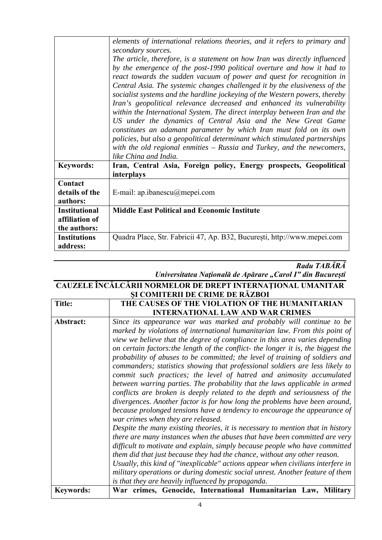|                                        | elements of international relations theories, and it refers to primary and<br>secondary sources.<br>The article, therefore, is a statement on how Iran was directly influenced<br>by the emergence of the post-1990 political overture and how it had to<br>react towards the sudden vacuum of power and quest for recognition in<br>Central Asia. The systemic changes challenged it by the elusiveness of the<br>socialist systems and the hardline jockeying of the Western powers, thereby<br>Iran's geopolitical relevance decreased and enhanced its vulnerability<br>within the International System. The direct interplay between Iran and the<br>US under the dynamics of Central Asia and the New Great Game<br>constitutes an adamant parameter by which Iran must fold on its own<br>policies, but also a geopolitical determinant which stimulated partnerships<br>with the old regional enmities $-$ Russia and Turkey, and the new comers,<br>like China and India. |
|----------------------------------------|------------------------------------------------------------------------------------------------------------------------------------------------------------------------------------------------------------------------------------------------------------------------------------------------------------------------------------------------------------------------------------------------------------------------------------------------------------------------------------------------------------------------------------------------------------------------------------------------------------------------------------------------------------------------------------------------------------------------------------------------------------------------------------------------------------------------------------------------------------------------------------------------------------------------------------------------------------------------------------|
| <b>Keywords:</b>                       | Iran, Central Asia, Foreign policy, Energy prospects, Geopolitical<br>interplays                                                                                                                                                                                                                                                                                                                                                                                                                                                                                                                                                                                                                                                                                                                                                                                                                                                                                                   |
| Contact                                |                                                                                                                                                                                                                                                                                                                                                                                                                                                                                                                                                                                                                                                                                                                                                                                                                                                                                                                                                                                    |
| details of the                         | E-mail: ap.ibanescu $@$ mepei.com                                                                                                                                                                                                                                                                                                                                                                                                                                                                                                                                                                                                                                                                                                                                                                                                                                                                                                                                                  |
| authors:                               |                                                                                                                                                                                                                                                                                                                                                                                                                                                                                                                                                                                                                                                                                                                                                                                                                                                                                                                                                                                    |
| <b>Institutional</b><br>affiliation of | <b>Middle East Political and Economic Institute</b>                                                                                                                                                                                                                                                                                                                                                                                                                                                                                                                                                                                                                                                                                                                                                                                                                                                                                                                                |
| the authors:                           |                                                                                                                                                                                                                                                                                                                                                                                                                                                                                                                                                                                                                                                                                                                                                                                                                                                                                                                                                                                    |
| <b>Institutions</b>                    |                                                                                                                                                                                                                                                                                                                                                                                                                                                                                                                                                                                                                                                                                                                                                                                                                                                                                                                                                                                    |
| address:                               | Quadra Place, Str. Fabricii 47, Ap. B32, București, http://www.mepei.com                                                                                                                                                                                                                                                                                                                                                                                                                                                                                                                                                                                                                                                                                                                                                                                                                                                                                                           |

### *Radu TABĂRĂ Universitatea Naţională de Apărare "Carol I" din Bucureşti*

#### **CAUZELE ÎNCĂLCĂRII NORMELOR DE DREPT INTERNAŢIONAL UMANITAR ŞI COMITERII DE CRIME DE RĂZBOI**

| <b>Title:</b>    | THE CAUSES OF THE VIOLATION OF THE HUMANITARIAN                                                                                                                                                                                                                                                                                                                                                                                                                                                                                                                                                                                                                                                                                                                                                                                                                                                                                                                                                                                                                                                                                                                                                                                                                                                                                                                                                                             |
|------------------|-----------------------------------------------------------------------------------------------------------------------------------------------------------------------------------------------------------------------------------------------------------------------------------------------------------------------------------------------------------------------------------------------------------------------------------------------------------------------------------------------------------------------------------------------------------------------------------------------------------------------------------------------------------------------------------------------------------------------------------------------------------------------------------------------------------------------------------------------------------------------------------------------------------------------------------------------------------------------------------------------------------------------------------------------------------------------------------------------------------------------------------------------------------------------------------------------------------------------------------------------------------------------------------------------------------------------------------------------------------------------------------------------------------------------------|
|                  | <b>INTERNATIONAL LAW AND WAR CRIMES</b>                                                                                                                                                                                                                                                                                                                                                                                                                                                                                                                                                                                                                                                                                                                                                                                                                                                                                                                                                                                                                                                                                                                                                                                                                                                                                                                                                                                     |
| Abstract:        | Since its appearance war was marked and probably will continue to be<br>marked by violations of international humanitarian law. From this point of<br>view we believe that the degree of compliance in this area varies depending<br>on certain factors: the length of the conflict- the longer it is, the biggest the<br>probability of abuses to be committed; the level of training of soldiers and<br>commanders; statistics showing that professional soldiers are less likely to<br>commit such practices; the level of hatred and animosity accumulated<br>between warring parties. The probability that the laws applicable in armed<br>conflicts are broken is deeply related to the depth and seriousness of the<br>divergences. Another factor is for how long the problems have been around,<br>because prolonged tensions have a tendency to encourage the appearance of<br>war crimes when they are released.<br>Despite the many existing theories, it is necessary to mention that in history<br>there are many instances when the abuses that have been committed are very<br>difficult to motivate and explain, simply because people who have committed<br>them did that just because they had the chance, without any other reason.<br>Usually, this kind of "inexplicable" actions appear when civilians interfere in<br>military operations or during domestic social unrest. Another feature of them |
|                  | is that they are heavily influenced by propaganda.                                                                                                                                                                                                                                                                                                                                                                                                                                                                                                                                                                                                                                                                                                                                                                                                                                                                                                                                                                                                                                                                                                                                                                                                                                                                                                                                                                          |
| <b>Keywords:</b> | War crimes, Genocide, International Humanitarian Law, Military                                                                                                                                                                                                                                                                                                                                                                                                                                                                                                                                                                                                                                                                                                                                                                                                                                                                                                                                                                                                                                                                                                                                                                                                                                                                                                                                                              |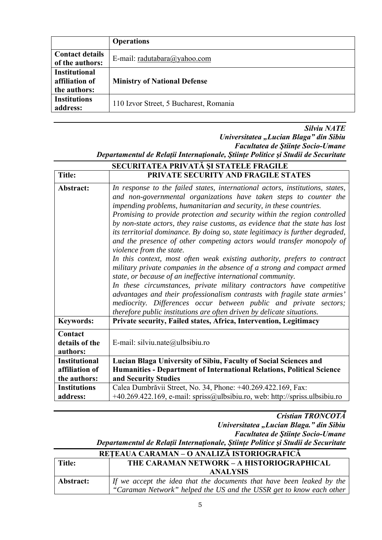|                                                        | <b>Operations</b>                      |
|--------------------------------------------------------|----------------------------------------|
| <b>Contact details</b><br>of the authors:              | E-mail: radutabara@yahoo.com           |
| <b>Institutional</b><br>affiliation of<br>the authors: | <b>Ministry of National Defense</b>    |
| <b>Institutions</b><br>address:                        | 110 Izvor Street, 5 Bucharest, Romania |

#### *Silviu NATE*

*Universitatea "Lucian Blaga" din Sibiu Facultatea de Ştiinţe Socio-Umane Departamentul de Relaţii Internaţionale, Ştiinţe Politice şi Studii de Securitate* 

| SECURITATEA PRIVATĂ ȘI STATELE FRAGILE |                                                                                                                                                                                                                                                                                                                                                                                                                                                                                                                                                                                                                                                                                                                                                                                                                                                                                                                                                                                                                                                                                                          |
|----------------------------------------|----------------------------------------------------------------------------------------------------------------------------------------------------------------------------------------------------------------------------------------------------------------------------------------------------------------------------------------------------------------------------------------------------------------------------------------------------------------------------------------------------------------------------------------------------------------------------------------------------------------------------------------------------------------------------------------------------------------------------------------------------------------------------------------------------------------------------------------------------------------------------------------------------------------------------------------------------------------------------------------------------------------------------------------------------------------------------------------------------------|
| <b>Title:</b>                          | PRIVATE SECURITY AND FRAGILE STATES                                                                                                                                                                                                                                                                                                                                                                                                                                                                                                                                                                                                                                                                                                                                                                                                                                                                                                                                                                                                                                                                      |
| Abstract:                              | In response to the failed states, international actors, institutions, states,<br>and non-governmental organizations have taken steps to counter the<br>impending problems, humanitarian and security, in these countries.<br>Promising to provide protection and security within the region controlled<br>by non-state actors, they raise customs, as evidence that the state has lost<br>its territorial dominance. By doing so, state legitimacy is further degraded,<br>and the presence of other competing actors would transfer monopoly of<br>violence from the state.<br>In this context, most often weak existing authority, prefers to contract<br>military private companies in the absence of a strong and compact armed<br>state, or because of an ineffective international community.<br>In these circumstances, private military contractors have competitive<br>advantages and their professionalism contrasts with fragile state armies'<br>mediocrity. Differences occur between public and private sectors;<br>therefore public institutions are often driven by delicate situations. |
| <b>Keywords:</b>                       | Private security, Failed states, Africa, Intervention, Legitimacy                                                                                                                                                                                                                                                                                                                                                                                                                                                                                                                                                                                                                                                                                                                                                                                                                                                                                                                                                                                                                                        |
| Contact<br>details of the<br>authors:  | E-mail: silviu.nate@ulbsibiu.ro                                                                                                                                                                                                                                                                                                                                                                                                                                                                                                                                                                                                                                                                                                                                                                                                                                                                                                                                                                                                                                                                          |
| <b>Institutional</b>                   | Lucian Blaga University of Sibiu, Faculty of Social Sciences and                                                                                                                                                                                                                                                                                                                                                                                                                                                                                                                                                                                                                                                                                                                                                                                                                                                                                                                                                                                                                                         |
| affiliation of                         | Humanities - Department of International Relations, Political Science                                                                                                                                                                                                                                                                                                                                                                                                                                                                                                                                                                                                                                                                                                                                                                                                                                                                                                                                                                                                                                    |
| the authors:                           | and Security Studies                                                                                                                                                                                                                                                                                                                                                                                                                                                                                                                                                                                                                                                                                                                                                                                                                                                                                                                                                                                                                                                                                     |
| <b>Institutions</b><br>address:        | Calea Dumbrăvii Street, No. 34, Phone: +40.269.422.169, Fax:<br>+40.269.422.169, e-mail: spriss@ulbsibiu.ro, web: http://spriss.ulbsibiu.ro                                                                                                                                                                                                                                                                                                                                                                                                                                                                                                                                                                                                                                                                                                                                                                                                                                                                                                                                                              |

*Cristian TRONCOTĂ Universitatea "Lucian Blaga." din Sibiu Facultatea de Ştiinţe Socio-Umane Departamentul de Relaţii Internaţionale, Ştiinţe Politice şi Studii de Securitate* 

|           | REȚEAUA CARAMAN – O ANALIZĂ ISTORIOGRAFICĂ                                    |
|-----------|-------------------------------------------------------------------------------|
| Title:    | THE CARAMAN NETWORK - A HISTORIOGRAPHICAL                                     |
|           | <b>ANALYSIS</b>                                                               |
| Abstract: | $\vert$ If we accept the idea that the documents that have been leaked by the |
|           | "Caraman Network" helped the US and the USSR get to know each other           |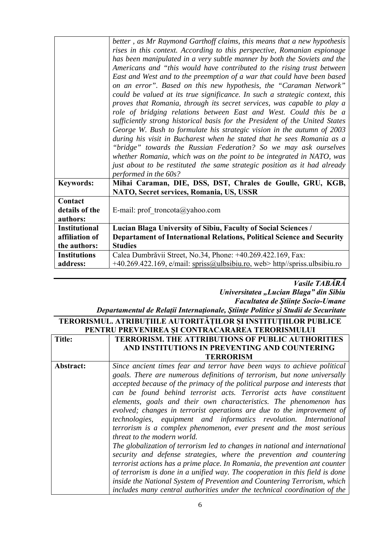|                                                        | better, as Mr Raymond Garthoff claims, this means that a new hypothesis<br>rises in this context. According to this perspective, Romanian espionage<br>has been manipulated in a very subtle manner by both the Soviets and the<br>Americans and "this would have contributed to the rising trust between<br>East and West and to the preemption of a war that could have been based<br>on an error". Based on this new hypothesis, the "Caraman Network"<br>could be valued at its true significance. In such a strategic context, this<br>proves that Romania, through its secret services, was capable to play a<br>role of bridging relations between East and West. Could this be a<br>sufficiently strong historical basis for the President of the United States<br>George W. Bush to formulate his strategic vision in the autumn of 2003<br>during his visit in Bucharest when he stated that he sees Romania as a<br>"bridge" towards the Russian Federation? So we may ask ourselves<br>whether Romania, which was on the point to be integrated in NATO, was<br>just about to be restituted the same strategic position as it had already<br>performed in the 60s? |
|--------------------------------------------------------|--------------------------------------------------------------------------------------------------------------------------------------------------------------------------------------------------------------------------------------------------------------------------------------------------------------------------------------------------------------------------------------------------------------------------------------------------------------------------------------------------------------------------------------------------------------------------------------------------------------------------------------------------------------------------------------------------------------------------------------------------------------------------------------------------------------------------------------------------------------------------------------------------------------------------------------------------------------------------------------------------------------------------------------------------------------------------------------------------------------------------------------------------------------------------------|
| <b>Keywords:</b>                                       | Mihai Caraman, DIE, DSS, DST, Chrales de Goulle, GRU, KGB,<br>NATO, Secret services, Romania, US, USSR                                                                                                                                                                                                                                                                                                                                                                                                                                                                                                                                                                                                                                                                                                                                                                                                                                                                                                                                                                                                                                                                         |
| Contact<br>details of the<br>authors:                  | E-mail: prof_troncota@yahoo.com                                                                                                                                                                                                                                                                                                                                                                                                                                                                                                                                                                                                                                                                                                                                                                                                                                                                                                                                                                                                                                                                                                                                                |
| <b>Institutional</b><br>affiliation of<br>the authors: | Lucian Blaga University of Sibiu, Faculty of Social Sciences /<br>Departament of International Relations, Political Science and Security<br><b>Studies</b>                                                                                                                                                                                                                                                                                                                                                                                                                                                                                                                                                                                                                                                                                                                                                                                                                                                                                                                                                                                                                     |
| <b>Institutions</b><br>address:                        | Calea Dumbrăvii Street, No.34, Phone: +40.269.422.169, Fax:<br>+40.269.422.169, e/mail: spriss@ulbsibiu.ro, web> http//spriss.ulbsibiu.ro                                                                                                                                                                                                                                                                                                                                                                                                                                                                                                                                                                                                                                                                                                                                                                                                                                                                                                                                                                                                                                      |

*Vasile TABĂRĂ Universitatea "Lucian Blaga" din Sibiu Facultatea de Ştiinţe Socio-Umane* 

## *Departamentul de Relaţii Internaţionale, Ştiinţe Politice şi Studii de Securitate*

#### **TERORISMUL. ATRIBUȚIILE AUTORITĂȚILOR ȘI INSTITUȚIILOR PUBLICE PENTRU PREVENIREA ȘI CONTRACARAREA TERORISMULUI**

| Title:    | <b>TERRORISM. THE ATTRIBUTIONS OF PUBLIC AUTHORITIES</b>                     |
|-----------|------------------------------------------------------------------------------|
|           | AND INSTITUTIONS IN PREVENTING AND COUNTERING                                |
|           | <b>TERRORISM</b>                                                             |
| Abstract: | Since ancient times fear and terror have been ways to achieve political      |
|           | goals. There are numerous definitions of terrorism, but none universally     |
|           | accepted because of the primacy of the political purpose and interests that  |
|           | can be found behind terrorist acts. Terrorist acts have constituent          |
|           | elements, goals and their own characteristics. The phenomenon has            |
|           | evolved; changes in terrorist operations are due to the improvement of       |
|           | technologies, equipment and informatics revolution. International            |
|           | terrorism is a complex phenomenon, ever present and the most serious         |
|           | threat to the modern world.                                                  |
|           | The globalization of terrorism led to changes in national and international  |
|           | security and defense strategies, where the prevention and countering         |
|           | terrorist actions has a prime place. In Romania, the prevention ant counter  |
|           | of terrorism is done in a unified way. The cooperation in this field is done |
|           | inside the National System of Prevention and Countering Terrorism, which     |
|           | includes many central authorities under the technical coordination of the    |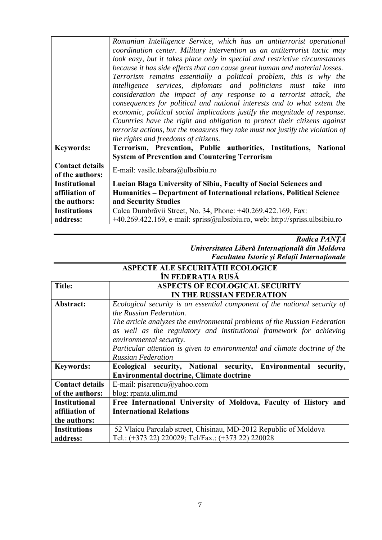|                                           | Romanian Intelligence Service, which has an antiterrorist operational<br>coordination center. Military intervention as an antiterrorist tactic may<br>look easy, but it takes place only in special and restrictive circumstances<br>because it has side effects that can cause great human and material losses.<br>Terrorism remains essentially a political problem, this is why the<br>intelligence services, diplomats and politicians must take into<br>consideration the impact of any response to a terrorist attack, the<br>consequences for political and national interests and to what extent the<br>economic, political social implications justify the magnitude of response.<br>Countries have the right and obligation to protect their citizens against<br>terrorist actions, but the measures they take must not justify the violation of |
|-------------------------------------------|------------------------------------------------------------------------------------------------------------------------------------------------------------------------------------------------------------------------------------------------------------------------------------------------------------------------------------------------------------------------------------------------------------------------------------------------------------------------------------------------------------------------------------------------------------------------------------------------------------------------------------------------------------------------------------------------------------------------------------------------------------------------------------------------------------------------------------------------------------|
|                                           | the rights and freedoms of citizens.<br>Terrorism, Prevention, Public authorities, Institutions, National                                                                                                                                                                                                                                                                                                                                                                                                                                                                                                                                                                                                                                                                                                                                                  |
| <b>Keywords:</b>                          | <b>System of Prevention and Countering Terrorism</b>                                                                                                                                                                                                                                                                                                                                                                                                                                                                                                                                                                                                                                                                                                                                                                                                       |
| <b>Contact details</b><br>of the authors: | E-mail: vasile.tabara@ulbsibiu.ro                                                                                                                                                                                                                                                                                                                                                                                                                                                                                                                                                                                                                                                                                                                                                                                                                          |
| <b>Institutional</b>                      | Lucian Blaga University of Sibiu, Faculty of Social Sciences and                                                                                                                                                                                                                                                                                                                                                                                                                                                                                                                                                                                                                                                                                                                                                                                           |
| affiliation of                            | Humanities - Department of International relations, Political Science                                                                                                                                                                                                                                                                                                                                                                                                                                                                                                                                                                                                                                                                                                                                                                                      |
| the authors:                              | and Security Studies                                                                                                                                                                                                                                                                                                                                                                                                                                                                                                                                                                                                                                                                                                                                                                                                                                       |
| <b>Institutions</b>                       | Calea Dumbrăvii Street, No. 34, Phone: +40.269.422.169, Fax:                                                                                                                                                                                                                                                                                                                                                                                                                                                                                                                                                                                                                                                                                                                                                                                               |
| address:                                  | $+40.269.422.169$ , e-mail: spriss@ulbsibiu.ro, web: http://spriss.ulbsibiu.ro                                                                                                                                                                                                                                                                                                                                                                                                                                                                                                                                                                                                                                                                                                                                                                             |

#### *Rodica PANȚA Universitatea Liberă Internaţională din Moldova Facultatea Istorie şi Relaţii Internaţionale*

#### **ASPECTE ALE SECURITĂȚII ECOLOGICE ÎN FEDERAȚIA RUSĂ**

| <b>Title:</b>          | <b>ASPECTS OF ECOLOGICAL SECURITY</b>                                      |
|------------------------|----------------------------------------------------------------------------|
|                        | IN THE RUSSIAN FEDERATION                                                  |
| Abstract:              | Ecological security is an essential component of the national security of  |
|                        | the Russian Federation.                                                    |
|                        | The article analyzes the environmental problems of the Russian Federation  |
|                        | as well as the regulatory and institutional framework for achieving        |
|                        | environmental security.                                                    |
|                        | Particular attention is given to environmental and climate doctrine of the |
|                        | <b>Russian Federation</b>                                                  |
| <b>Keywords:</b>       | Ecological security, National security,<br>Environmental<br>security,      |
|                        | <b>Environmental doctrine, Climate doctrine</b>                            |
| <b>Contact details</b> | E-mail: pisarencu@yahoo.com                                                |
| of the authors:        | blog: rpanta.ulim.md                                                       |
| <b>Institutional</b>   | Free International University of Moldova, Faculty of History and           |
| affiliation of         | <b>International Relations</b>                                             |
| the authors:           |                                                                            |
| <b>Institutions</b>    | 52 Vlaicu Parcalab street, Chisinau, MD-2012 Republic of Moldova           |
| address:               |                                                                            |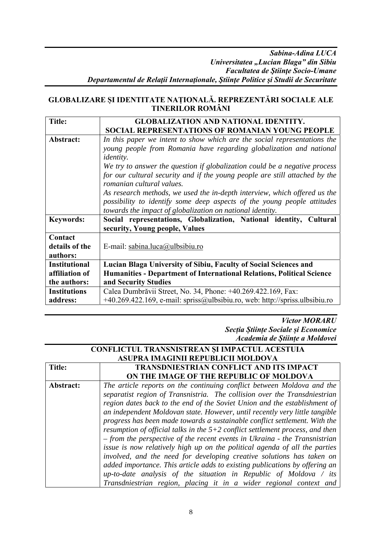#### **GLOBALIZARE ȘI IDENTITATE NAȚIONALĂ. REPREZENTĂRI SOCIALE ALE TINERILOR ROMÂNI**

| <b>Title:</b>                                          | <b>GLOBALIZATION AND NATIONAL IDENTITY.</b><br>SOCIAL REPRESENTATIONS OF ROMANIAN YOUNG PEOPLE                                                                                                                                                                                                                                   |
|--------------------------------------------------------|----------------------------------------------------------------------------------------------------------------------------------------------------------------------------------------------------------------------------------------------------------------------------------------------------------------------------------|
| Abstract:                                              | In this paper we intent to show which are the social representations the<br>young people from Romania have regarding globalization and national<br><i>identity.</i><br>We try to answer the question if globalization could be a negative process<br>for our cultural security and if the young people are still attached by the |
|                                                        | romanian cultural values.<br>As research methods, we used the in-depth interview, which offered us the<br>possibility to identify some deep aspects of the young people attitudes<br>towards the impact of globalization on national identity.                                                                                   |
| <b>Keywords:</b>                                       | Social representations, Globalization, National identity, Cultural<br>security, Young people, Values                                                                                                                                                                                                                             |
| Contact<br>details of the<br>authors:                  | E-mail: sabina.luca@ulbsibiu.ro                                                                                                                                                                                                                                                                                                  |
| <b>Institutional</b><br>affiliation of<br>the authors: | Lucian Blaga University of Sibiu, Faculty of Social Sciences and<br>Humanities - Department of International Relations, Political Science<br>and Security Studies                                                                                                                                                                |
| <b>Institutions</b><br>address:                        | Calea Dumbrăvii Street, No. 34, Phone: +40.269.422.169, Fax:<br>$+40.269.422.169$ , e-mail: spriss@ulbsibiu.ro, web: http://spriss.ulbsibiu.ro                                                                                                                                                                                   |

*Victor MORARU Secția Științe Sociale și Economice Academia de Științe a Moldovei* 

| CONFLICTUL TRANSNISTREAN ȘI IMPACTUL ACESTUIA |                                                                                 |
|-----------------------------------------------|---------------------------------------------------------------------------------|
|                                               | ASUPRA IMAGINII REPUBLICII MOLDOVA                                              |
| Title:                                        | <b>TRANSDNIESTRIAN CONFLICT AND ITS IMPACT</b>                                  |
|                                               | ON THE IMAGE OF THE REPUBLIC OF MOLDOVA                                         |
| Abstract:                                     | The article reports on the continuing conflict between Moldova and the          |
|                                               | separatist region of Transnistria. The collision over the Transdniestrian       |
|                                               | region dates back to the end of the Soviet Union and the establishment of       |
|                                               | an independent Moldovan state. However, until recently very little tangible     |
|                                               | progress has been made towards a sustainable conflict settlement. With the      |
|                                               | resumption of official talks in the $5+2$ conflict settlement process, and then |
|                                               | $-$ from the perspective of the recent events in Ukraina - the Transnistrian    |
|                                               | issue is now relatively high up on the political agenda of all the parties      |
|                                               | involved, and the need for developing creative solutions has taken on           |
|                                               | added importance. This article adds to existing publications by offering an     |
|                                               | up-to-date analysis of the situation in Republic of Moldova $\ell$ its          |
|                                               | Transdniestrian region, placing it in a wider regional context and              |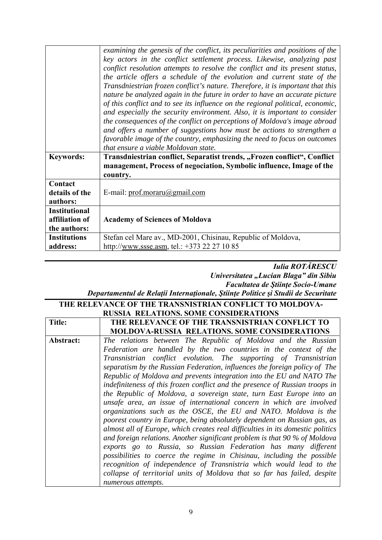|                      | examining the genesis of the conflict, its peculiarities and positions of the  |
|----------------------|--------------------------------------------------------------------------------|
|                      | key actors in the conflict settlement process. Likewise, analyzing past        |
|                      | conflict resolution attempts to resolve the conflict and its present status,   |
|                      | the article offers a schedule of the evolution and current state of the        |
|                      | Transdniestrian frozen conflict's nature. Therefore, it is important that this |
|                      | nature be analyzed again in the future in order to have an accurate picture    |
|                      | of this conflict and to see its influence on the regional political, economic, |
|                      | and especially the security environment. Also, it is important to consider     |
|                      | the consequences of the conflict on perceptions of Moldova's image abroad      |
|                      | and offers a number of suggestions how must be actions to strengthen a         |
|                      | favorable image of the country, emphasizing the need to focus on outcomes      |
|                      | that ensure a viable Moldovan state.                                           |
|                      |                                                                                |
| <b>Keywords:</b>     | Transdniestrian conflict, Separatist trends, "Frozen conflict", Conflict       |
|                      | management, Process of negociation, Symbolic influence, Image of the           |
|                      | country.                                                                       |
| Contact              |                                                                                |
| details of the       | E-mail: prof.moraru@gmail.com                                                  |
| authors:             |                                                                                |
| <b>Institutional</b> |                                                                                |
| affiliation of       | <b>Academy of Sciences of Moldova</b>                                          |
| the authors:         |                                                                                |
| <b>Institutions</b>  | Stefan cel Mare av., MD-2001, Chisinau, Republic of Moldova,                   |
|                      |                                                                                |
| address:             | http://www.ssse.asm. tel.: +373 22 27 10 85                                    |

#### *Iulia ROTĂRESCU Universitatea "Lucian Blaga" din Sibiu Facultatea de Ştiinţe Socio-Umane Departamentul de Relaţii Internaţionale, Ştiinţe Politice şi Studii de Securitate*

|           | THE RELEVANCE OF THE TRANSNISTRIAN CONFLICT TO MOLDOVA-                        |
|-----------|--------------------------------------------------------------------------------|
|           | <b>RUSSIA RELATIONS. SOME CONSIDERATIONS</b>                                   |
| Title:    | THE RELEVANCE OF THE TRANSNISTRIAN CONFLICT TO                                 |
|           | <b>MOLDOVA-RUSSIA RELATIONS. SOME CONSIDERATIONS</b>                           |
| Abstract: | The relations between The Republic of Moldova and the Russian                  |
|           | Federation are handled by the two countries in the context of the              |
|           | Transnistrian conflict evolution. The supporting of Transnistrian              |
|           | separatism by the Russian Federation, influences the foreign policy of The     |
|           | Republic of Moldova and prevents integration into the EU and NATO The          |
|           | indefiniteness of this frozen conflict and the presence of Russian troops in   |
|           | the Republic of Moldova, a sovereign state, turn East Europe into an           |
|           | unsafe area, an issue of international concern in which are involved           |
|           | organizations such as the OSCE, the EU and NATO. Moldova is the                |
|           | poorest country in Europe, being absolutely dependent on Russian gas, as       |
|           | almost all of Europe, which creates real difficulties in its domestic politics |
|           | and foreign relations. Another significant problem is that 90 $\%$ of Moldova  |
|           | exports go to Russia, so Russian Federation has many different                 |
|           | possibilities to coerce the regime in Chisinau, including the possible         |
|           | recognition of independence of Transnistria which would lead to the            |
|           | collapse of territorial units of Moldova that so far has failed, despite       |
|           | numerous attempts.                                                             |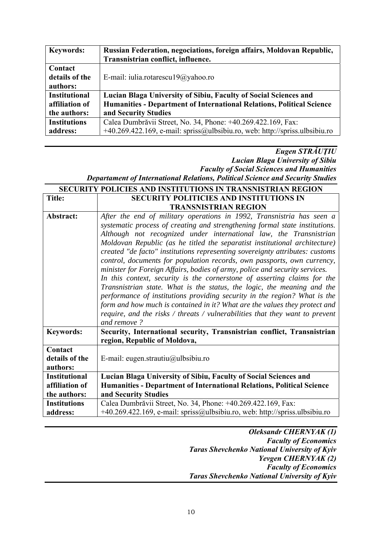| <b>Keywords:</b>     | Russian Federation, negociations, foreign affairs, Moldovan Republic,       |
|----------------------|-----------------------------------------------------------------------------|
|                      | Transnistrian conflict, influence.                                          |
| Contact              |                                                                             |
| details of the       | E-mail: iulia.rotarescu19@yahoo.ro                                          |
| authors:             |                                                                             |
| <b>Institutional</b> | Lucian Blaga University of Sibiu, Faculty of Social Sciences and            |
| affiliation of       | Humanities - Department of International Relations, Political Science       |
| the authors:         | and Security Studies                                                        |
| <b>Institutions</b>  | Calea Dumbrăvii Street, No. 34, Phone: +40.269.422.169, Fax:                |
| address:             | +40.269.422.169, e-mail: spriss@ulbsibiu.ro, web: http://spriss.ulbsibiu.ro |

### *Eugen STRĂUŢIU Lucian Blaga University of Sibiu Faculty of Social Sciences and Humanities*

*Departament of International Relations, Political Science and Security Studies*  **SECURITY POLICIES AND INSTITUTIONS IN TRANSNISTRIAN REGION** 

| <b>Title:</b>                                          | <b>SECURITY POLITICIES AND INSTITUTIONS IN</b>                                                                                                                                                                                                                                                                                                                                                                                                                                                         |
|--------------------------------------------------------|--------------------------------------------------------------------------------------------------------------------------------------------------------------------------------------------------------------------------------------------------------------------------------------------------------------------------------------------------------------------------------------------------------------------------------------------------------------------------------------------------------|
|                                                        | <b>TRANSNISTRIAN REGION</b>                                                                                                                                                                                                                                                                                                                                                                                                                                                                            |
| Abstract:                                              | After the end of military operations in 1992, Transnistria has seen a<br>systematic process of creating and strengthening formal state institutions.<br>Although not recognized under international law, the Transnistrian                                                                                                                                                                                                                                                                             |
|                                                        | Moldovan Republic (as he titled the separatist institutional architecture)<br>created "de facto" institutions representing sovereignty attributes: customs<br>control, documents for population records, own passports, own currency,                                                                                                                                                                                                                                                                  |
|                                                        | minister for Foreign Affairs, bodies of army, police and security services.<br>In this context, security is the cornerstone of asserting claims for the<br>Transnistrian state. What is the status, the logic, the meaning and the<br>performance of institutions providing security in the region? What is the<br>form and how much is contained in it? What are the values they protect and<br>require, and the risks $\ell$ threats $\ell$ vulnerabilities that they want to prevent<br>and remove? |
| <b>Keywords:</b>                                       | Security, International security, Transnistrian conflict, Transnistrian<br>region, Republic of Moldova,                                                                                                                                                                                                                                                                                                                                                                                                |
| Contact<br>details of the<br>authors:                  | E-mail: eugen.strautiu@ulbsibiu.ro                                                                                                                                                                                                                                                                                                                                                                                                                                                                     |
| <b>Institutional</b><br>affiliation of<br>the authors: | Lucian Blaga University of Sibiu, Faculty of Social Sciences and<br>Humanities - Department of International Relations, Political Science<br>and Security Studies                                                                                                                                                                                                                                                                                                                                      |
| <b>Institutions</b><br>address:                        | Calea Dumbrăvii Street, No. 34, Phone: +40.269.422.169, Fax:<br>+40.269.422.169, e-mail: spriss@ulbsibiu.ro, web: http://spriss.ulbsibiu.ro                                                                                                                                                                                                                                                                                                                                                            |

*Oleksandr CHERNYAK (1) Faculty of Economics Taras Shevchenko National University of Kyiv Yevgen CHERNYAK (2) Faculty of Economics Taras Shevchenko National University of Kyiv*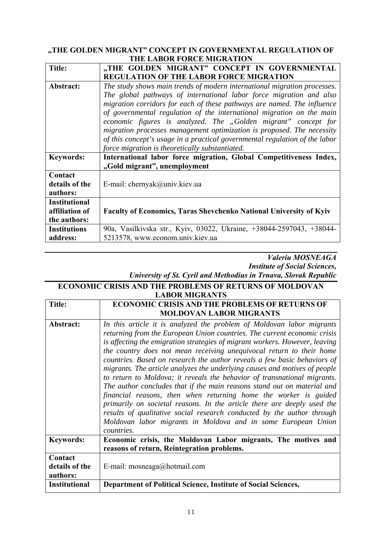#### **"THE GOLDEN MIGRANT" CONCEPT IN GOVERNMENTAL REGULATION OF THE LABOR FORCE MIGRATION**

| <b>Title:</b>                                          | "THE GOLDEN MIGRANT" CONCEPT IN GOVERNMENTAL<br><b>REGULATION OF THE LABOR FORCE MIGRATION</b>                                                                                                                                                                                                                                                                                                                                                                                                                                                                                    |
|--------------------------------------------------------|-----------------------------------------------------------------------------------------------------------------------------------------------------------------------------------------------------------------------------------------------------------------------------------------------------------------------------------------------------------------------------------------------------------------------------------------------------------------------------------------------------------------------------------------------------------------------------------|
| Abstract:                                              | The study shows main trends of modern international migration processes.<br>The global pathways of international labor force migration and also<br>migration corridors for each of these pathways are named. The influence<br>of governmental regulation of the international migration on the main<br>economic figures is analyzed. The "Golden migrant" concept for<br>migration processes management optimization is proposed. The necessity<br>of this concept's usage in a practical governmental regulation of the labor<br>force migration is theoretically substantiated. |
| <b>Keywords:</b>                                       | International labor force migration, Global Competitiveness Index,<br>"Gold migrant", unemployment                                                                                                                                                                                                                                                                                                                                                                                                                                                                                |
| Contact<br>details of the<br>authors:                  | E-mail: chernyak@univ.kiev.ua                                                                                                                                                                                                                                                                                                                                                                                                                                                                                                                                                     |
| <b>Institutional</b><br>affiliation of<br>the authors: | <b>Faculty of Economics, Taras Shevchenko National University of Kyiv</b>                                                                                                                                                                                                                                                                                                                                                                                                                                                                                                         |
| <b>Institutions</b><br>address:                        | 90a, Vasilkivska str., Kyiv, 03022, Ukraine, +38044-2597043, +38044-<br>5213578, www.econom.univ.kiev.ua                                                                                                                                                                                                                                                                                                                                                                                                                                                                          |

#### *Valeriu MOSNEAGA Institute of Social Sciences, University of St. Cyril and Methodius in Trnava, Slovak Republic*

| <b>ECONOMIC CRISIS AND THE PROBLEMS OF RETURNS OF MOLDOVAN</b> |                                                                             |
|----------------------------------------------------------------|-----------------------------------------------------------------------------|
|                                                                | <b>LABOR MIGRANTS</b>                                                       |
| <b>Title:</b>                                                  | <b>ECONOMIC CRISIS AND THE PROBLEMS OF RETURNS OF</b>                       |
|                                                                | <b>MOLDOVAN LABOR MIGRANTS</b>                                              |
| Abstract:                                                      | In this article it is analyzed the problem of Moldovan labor migrants       |
|                                                                | returning from the European Union countries. The current economic crisis    |
|                                                                | is affecting the emigration strategies of migrant workers. However, leaving |
|                                                                | the country does not mean receiving unequivocal return to their home        |
|                                                                | countries. Based on research the author reveals a few basic behaviors of    |
|                                                                | migrants. The article analyzes the underlying causes and motives of people  |
|                                                                | to return to Moldova; it reveals the behavior of transnational migrants.    |
|                                                                | The author concludes that if the main reasons stand out on material and     |
|                                                                | financial reasons, then when returning home the worker is guided            |
|                                                                | primarily on societal reasons. In the article there are deeply used the     |
|                                                                | results of qualitative social research conducted by the author through      |
|                                                                | Moldovan labor migrants in Moldova and in some European Union               |
|                                                                | countries.                                                                  |
| <b>Keywords:</b>                                               | Economic crisis, the Moldovan Labor migrants, The motives and               |
|                                                                | reasons of return, Reintegration problems.                                  |
| Contact                                                        |                                                                             |
| details of the                                                 | E-mail: mosneaga@hotmail.com                                                |
| authors:                                                       |                                                                             |
| <b>Institutional</b>                                           | Department of Political Science, Institute of Social Sciences,              |
|                                                                |                                                                             |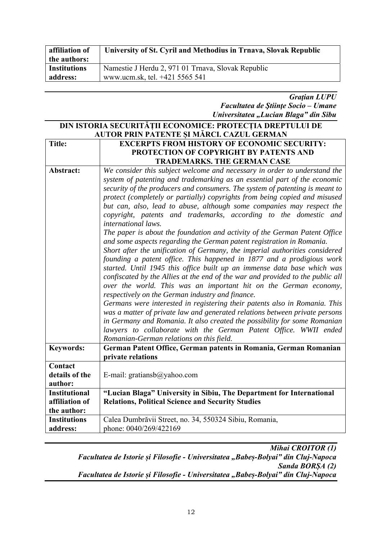| affiliation of      | University of St. Cyril and Methodius in Trnava, Slovak Republic |
|---------------------|------------------------------------------------------------------|
| the authors:        |                                                                  |
| <b>Institutions</b> | Namestie J Herdu 2, 971 01 Trnava, Slovak Republic               |
| address:            | www.ucm.sk, tel. +421 5565 541                                   |

*Graţian LUPU Facultatea de Ştiinţe Socio – Umane Universitatea "Lucian Blaga" din Sibu* 

#### **DIN ISTORIA SECURITĂȚII ECONOMICE: PROTECȚIA DREPTULUI DE AUTOR PRIN PATENTE ȘI MĂRCI. CAZUL GERMAN Title: EXCERPTS FROM HISTORY OF ECONOMIC SECURITY: PROTECTION OF COPYRIGHT BY PATENTS AND TRADEMARKS. THE GERMAN CASE Abstract:** *We consider this subject welcome and necessary in order to understand the system of patenting and trademarking as an essential part of the economic security of the producers and consumers. The system of patenting is meant to protect (completely or partially) copyrights from being copied and misused but can, also, lead to abuse, although some companies may respect the copyright, patents and trademarks, according to the domestic and international laws. The paper is about the foundation and activity of the German Patent Office and some aspects regarding the German patent registration in Romania. Short after the unification of Germany, the imperial authorities considered founding a patent office. This happened in 1877 and a prodigious work started. Until 1945 this office built up an immense data base which was confiscated by the Allies at the end of the war and provided to the public all over the world. This was an important hit on the German economy, respectively on the German industry and finance. Germans were interested in registering their patents also in Romania. This was a matter of private law and generated relations between private persons in Germany and Romania. It also created the possibility for some Romanian lawyers to collaborate with the German Patent Office. WWII ended Romanian-German relations on this field.* **Keywords: German Patent Office, German patents in Romania, German Romanian private relations Contact details of the author:**  E-mail: gratiansb@yahoo.com **Institutional affiliation of the author: "Lucian Blaga" University in Sibiu, The Department for International Relations, Political Science and Security Studies Institutions address:**  Calea Dumbrăvii Street, no. 34, 550324 Sibiu, Romania, phone: 0040/269/422169

*Mihai CROITOR (1) Facultatea de Istorie și Filosofie - Universitatea "Babeș-Bolyai" din Cluj-Napoca Sanda BORȘA (2) Facultatea de Istorie și Filosofie - Universitatea "Babeș-Bolyai" din Cluj-Napoca*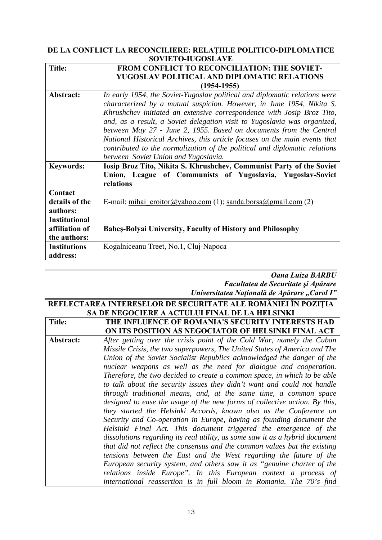#### **DE LA CONFLICT LA RECONCILIERE: RELAȚIILE POLITICO-DIPLOMATICE SOVIETO-IUGOSLAVE**

| <b>Title:</b>                                          | FROM CONFLICT TO RECONCILIATION: THE SOVIET-                                                                                                                                                                                                                                                                                                                                                                                                                                                                                                                                        |
|--------------------------------------------------------|-------------------------------------------------------------------------------------------------------------------------------------------------------------------------------------------------------------------------------------------------------------------------------------------------------------------------------------------------------------------------------------------------------------------------------------------------------------------------------------------------------------------------------------------------------------------------------------|
|                                                        | YUGOSLAV POLITICAL AND DIPLOMATIC RELATIONS                                                                                                                                                                                                                                                                                                                                                                                                                                                                                                                                         |
|                                                        | $(1954 - 1955)$                                                                                                                                                                                                                                                                                                                                                                                                                                                                                                                                                                     |
| Abstract:                                              | In early 1954, the Soviet-Yugoslav political and diplomatic relations were<br>characterized by a mutual suspicion. However, in June 1954, Nikita S.<br>Khrushchev initiated an extensive correspondence with Josip Broz Tito,<br>and, as a result, a Soviet delegation visit to Yugoslavia was organized,<br>between May 27 - June 2, 1955. Based on documents from the Central<br>National Historical Archives, this article focuses on the main events that<br>contributed to the normalization of the political and diplomatic relations<br>between Soviet Union and Yugoslavia. |
| <b>Keywords:</b>                                       | Iosip Broz Tito, Nikita S. Khrushchev, Communist Party of the Soviet<br>Union, League of Communists of Yugoslavia, Yugoslav-Soviet<br>relations                                                                                                                                                                                                                                                                                                                                                                                                                                     |
| Contact                                                |                                                                                                                                                                                                                                                                                                                                                                                                                                                                                                                                                                                     |
| details of the<br>authors:                             | E-mail: mihai $\text{criotor}(a)$ yahoo.com (1); sanda.borsa $(a)$ gmail.com (2)                                                                                                                                                                                                                                                                                                                                                                                                                                                                                                    |
| <b>Institutional</b><br>affiliation of<br>the authors: | <b>Babes-Bolyai University, Faculty of History and Philosophy</b>                                                                                                                                                                                                                                                                                                                                                                                                                                                                                                                   |
| <b>Institutions</b><br>address:                        | Kogalniceanu Treet, No.1, Cluj-Napoca                                                                                                                                                                                                                                                                                                                                                                                                                                                                                                                                               |

#### *Oana Luiza BARBU Facultatea de Securitate şi Apărare Universitatea Naţională de Apărare "Carol I"*

| REFLECTAREA INTERESELOR DE SECURITATE ALE ROMÂNIEI ÎN POZIȚIA |                                                                              |  |
|---------------------------------------------------------------|------------------------------------------------------------------------------|--|
| SA DE NEGOCIERE A ACTULUI FINAL DE LA HELSINKI                |                                                                              |  |
| <b>Title:</b>                                                 | THE INFLUENCE OF ROMANIA'S SECURITY INTERESTS HAD                            |  |
|                                                               | ON ITS POSITION AS NEGOCIATOR OF HELSINKI FINAL ACT                          |  |
| Abstract:                                                     | After getting over the crisis point of the Cold War, namely the Cuban        |  |
|                                                               | Missile Crisis, the two superpowers, The United States of America and The    |  |
|                                                               | Union of the Soviet Socialist Republics acknowledged the danger of the       |  |
|                                                               | nuclear weapons as well as the need for dialogue and cooperation.            |  |
|                                                               | Therefore, the two decided to create a common space, in which to be able     |  |
|                                                               | to talk about the security issues they didn't want and could not handle      |  |
|                                                               | through traditional means, and, at the same time, a common space             |  |
|                                                               | designed to ease the usage of the new forms of collective action. By this,   |  |
|                                                               | they started the Helsinki Accords, known also as the Conference on           |  |
|                                                               | Security and Co-operation in Europe, having as founding document the         |  |
|                                                               | Helsinki Final Act. This document triggered the emergence of the             |  |
|                                                               | dissolutions regarding its real utility, as some saw it as a hybrid document |  |
|                                                               | that did not reflect the consensus and the common values but the existing    |  |
|                                                               | tensions between the East and the West regarding the future of the           |  |
|                                                               | European security system, and others saw it as "genuine charter of the       |  |
|                                                               | relations inside Europe". In this European context a process of              |  |
|                                                               | international reassertion is in full bloom in Romania. The 70's find         |  |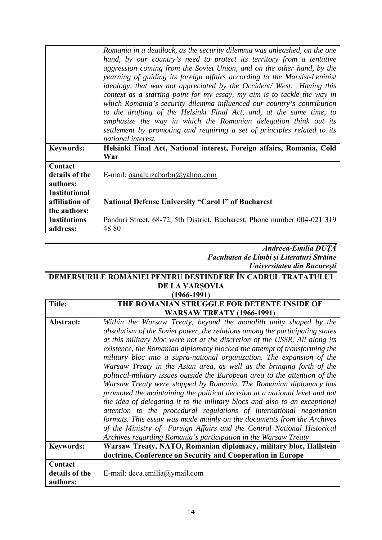|                                                        | Romania in a deadlock, as the security dilemma was unleashed, on the one<br>hand, by our country's need to protect its territory from a tentative<br>aggression coming from the Soviet Union, and on the other hand, by the<br>yearning of guiding its foreign affairs according to the Marxist-Leninist<br><i>ideology, that was not appreciated by the Occident/West. Having this</i><br>context as a starting point for my essay, my aim is to tackle the way in<br>which Romania's security dilemma influenced our country's contribution<br>to the drafting of the Helsinki Final Act, and, at the same time, to<br>emphasize the way in which the Romanian delegation think out its<br>settlement by promoting and requiring a set of principles related to its<br>national interest. |
|--------------------------------------------------------|---------------------------------------------------------------------------------------------------------------------------------------------------------------------------------------------------------------------------------------------------------------------------------------------------------------------------------------------------------------------------------------------------------------------------------------------------------------------------------------------------------------------------------------------------------------------------------------------------------------------------------------------------------------------------------------------------------------------------------------------------------------------------------------------|
| <b>Keywords:</b>                                       | Helsinki Final Act, National interest, Foreign affairs, Romania, Cold<br>War                                                                                                                                                                                                                                                                                                                                                                                                                                                                                                                                                                                                                                                                                                                |
| Contact<br>details of the<br>authors:                  | E-mail: oanaluizabarbu@yahoo.com                                                                                                                                                                                                                                                                                                                                                                                                                                                                                                                                                                                                                                                                                                                                                            |
| <b>Institutional</b><br>affiliation of<br>the authors: | <b>National Defense University "Carol I" of Bucharest</b>                                                                                                                                                                                                                                                                                                                                                                                                                                                                                                                                                                                                                                                                                                                                   |
| <b>Institutions</b><br>address:                        | Panduri Street, 68-72, 5th District, Bucharest, Phone number 004-021 319<br>48 80                                                                                                                                                                                                                                                                                                                                                                                                                                                                                                                                                                                                                                                                                                           |

#### *Andreea-Emilia DUŢĂ Facultatea de Limbi şi Literaturi Străine Universitatea din Bucureşti*

## **DEMERSURILE ROMÂNIEI PENTRU DESTINDERE ÎN CADRUL TRATATULUI DE LA VARŞOVIA**

| $(1966 - 1991)$                       |                                                                                                                                                                                                                                                                                                                                                                                                                                                                                                                                                                                                                                                                                                                                                                                                                                                                                                                                                                                                                                                                                  |  |
|---------------------------------------|----------------------------------------------------------------------------------------------------------------------------------------------------------------------------------------------------------------------------------------------------------------------------------------------------------------------------------------------------------------------------------------------------------------------------------------------------------------------------------------------------------------------------------------------------------------------------------------------------------------------------------------------------------------------------------------------------------------------------------------------------------------------------------------------------------------------------------------------------------------------------------------------------------------------------------------------------------------------------------------------------------------------------------------------------------------------------------|--|
| <b>Title:</b>                         | THE ROMANIAN STRUGGLE FOR DETENTE INSIDE OF                                                                                                                                                                                                                                                                                                                                                                                                                                                                                                                                                                                                                                                                                                                                                                                                                                                                                                                                                                                                                                      |  |
|                                       | <b>WARSAW TREATY (1966-1991)</b>                                                                                                                                                                                                                                                                                                                                                                                                                                                                                                                                                                                                                                                                                                                                                                                                                                                                                                                                                                                                                                                 |  |
| Abstract:                             | Within the Warsaw Treaty, beyond the monolith unity shaped by the<br>absolutism of the Soviet power, the relations among the participating states<br>at this military bloc were not at the discretion of the USSR. All along its<br>existence, the Romanian diplomacy blocked the attempt of transforming the<br>military bloc into a supra-national organization. The expansion of the<br>Warsaw Treaty in the Asian area, as well as the bringing forth of the<br>political-military issues outside the European area to the attention of the<br>Warsaw Treaty were stopped by Romania. The Romanian diplomacy has<br>promoted the maintaining the political decision at a national level and not<br>the idea of delegating it to the military blocs and also to an exceptional<br>attention to the procedural regulations of international negotiation<br>formats. This essay was made mainly on the documents from the Archives<br>of the Ministry of Foreign Affairs and the Central National Historical<br>Archives regarding Romania's participation in the Warsaw Treaty |  |
| <b>Keywords:</b>                      | Warsaw Treaty, NATO, Romanian diplomacy, military bloc, Hallstein<br>doctrine, Conference on Security and Cooperation in Europe                                                                                                                                                                                                                                                                                                                                                                                                                                                                                                                                                                                                                                                                                                                                                                                                                                                                                                                                                  |  |
| Contact<br>details of the<br>authors: | E-mail: deea.emilia@ymail.com                                                                                                                                                                                                                                                                                                                                                                                                                                                                                                                                                                                                                                                                                                                                                                                                                                                                                                                                                                                                                                                    |  |